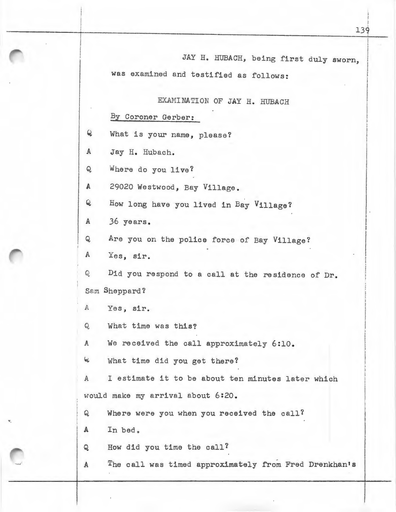EXAMINATION OF JAY H. HUBACH

By Coroner Gerber:

Q What is your name, please?

A Jay H. Hubach.

Q Where do you live?

A 29020 Westwood, Bay Village.

Q How long have you lived in Bay Village?

A 36 years.

Q Are you on the police force of Bay Village?

A Yes, sir.

Q Did you respond to a call at the residence of Dr. Sam Sheppard?

A Yes, sir.

Q What time was this?

A We received the call approximately 6:10.

<sup>~</sup>What time did you get there?

A I estimate it to be about ten minutes later which would make my arrival about 6:20.

Q Where were you when you received the call?

A In bed.

Q How did you time the call?

A The call was timed approximately from Fred Drenkhan's

!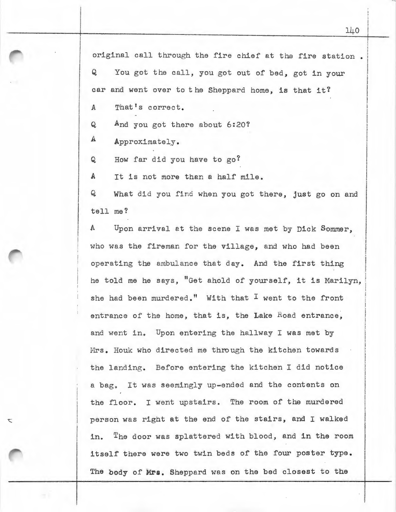original call through the fire chief at the fire station.  $Q$ You got the call, you got out of bed, got in your

car and went over to the Sheppard home, is that it?

A That's correct.

 $Q$ And you got there about 6:20?

*A*  Approximately.

Ź,

Q How far did you have to  $go?$ 

A It is not more than a half mile.

 $\bf{Q}$ tell me? What did you find when you got there, just go on and

 $\mathbb{A}$ Upon arrival at the scene I was met by Dick Sommer, who was the fireman for the village, and who had been operating the ambulance that day. And the first thing he told me he says, "Get ahold of yourself, it is Marilyn, she had been murdered." With that  $I$  went to the front entrance of the home, that is, the Lake Road entrance, and went in. Upon entering the hallway I was met by Mrs. Houk who directed me through the kitchen towards the landing. Before entering the kitchen I did notice a bag. It was seemingly up-ended and the contents on the floor. I went upstairs. The room of the murdered person was right at the end of the stairs, and I walked in. The door was splattered with blood, and in the room itself there were two twin beds of the four poster type. The body of Mrs. Sheppard was on the bed closest to the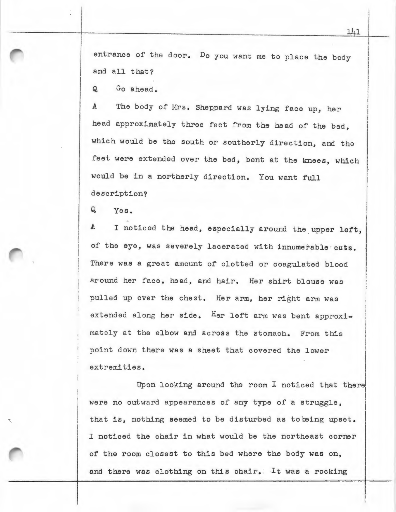entrance of the door. Do you want me to place the body and all that?

Q Go ahead.

A The body of Mrs. Sheppard was lying face up, her head approximately three feet from the head of the bed, which would be the south or southerly direction, and the feet were extended over the bed, bent at the knees, which would be in a northerly direction. You want full description?

Q Yes.

A I noticed the head, especially around the upper left, of the eye, was severely lacerated with innumerable cuts. There was a great amount of clotted or coagulated blood around her face, head, and hair. Her shirt blouse was pulled up over the chest. Her arm, her right arm was extended along her side. Her left arm was bent approximately at the elbow and across the stomach. From this p oint down there was a sheet that covered the lower extremities.

Upon looking around the room I noticed that there! were no outward appearances of any type of a struggle, that is, nothing seemed to be disturbed as tobeing upset. I noticed the chair in what would be the northeast corner of the room closest to this bed where the body was on, and there was clothing on this chair. It was a rocking I  $\begin{array}{c} \begin{array}{c} \begin{array}{c} \begin{array}{c} \begin{array}{c} \end{array} \end{array} \end{array} \end{array} \end{array} \end{array}$ 

I an ada was i **I** I l ! I *:*  i I

I I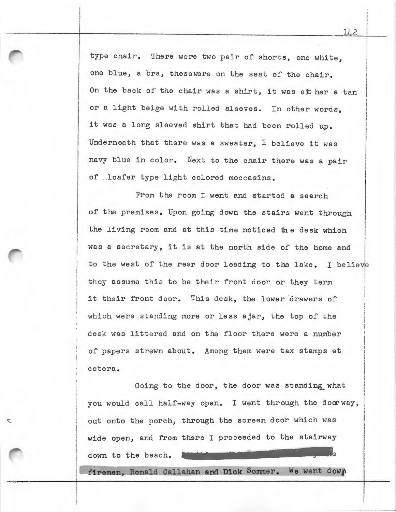type chair. There were two pair of shorts, one white, one blue, a bra, thesewere on the seat of the chair. On the back of the chair was a shirt, it was eit her a tan or a light beige with rolled sleeves. In other words, it was a long sleeved shirt that had been rolled up. Underneath that there was a sweater, I believe it was navy blue in color. Next to the chair there was a pair of .. loafer type light colored moccasins.

From the room I went and started a search of the premises. Upon going down the stairs went through the living room and at this time noticed the desk which was a secretary, it is at the north side of the home and I I  $\mathbf{I}$ ! I I I is a secondary, we we we have the mass of the home did the vertex of the rear door leading to the lake. I believe they assume this to be their front door or they term it their front door. This desk, the lower drawers of which were standing more or less ajar, the top of the desk was littered and on the floor there were a number of papers strewn about. Among them were tax stamps et cetera.

Going to the door, the door was standing what you would call half-way open. I went through the doorway, out onto the porch, through the screen door which was wide open, and from there I proceeded to the stairway down to the beach.

T

firemen, Ronald Callahan and Dick Sommer. We went down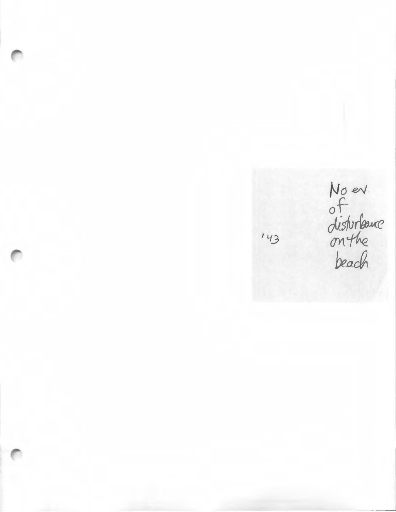*No* eAJ dictivelance  $M<sup>2</sup>$   $M<sup>2</sup>$ beach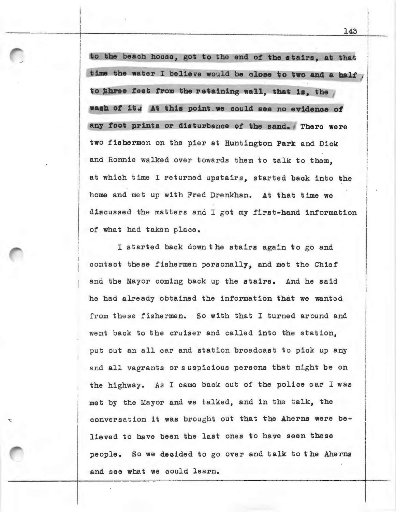to the beach house, got to the end of the stairs, at that time the water I believe would be close to two and a half, to three feet from the retaining wall, that is, the wash of it. At this point we could see no evidence of any foot prints or disturbance of the sand. There were two fishermen on the pier at Huntington Park and Dick and Ronnie walked over towards them to talk to them, at which time I returned upstairs, started back into the home and met up with Fred Drenkhan. At that time we discussed the matters and I got my first-hand information of what had taken place.

I started back down the stairs again to go and contact these fishermen personally, and met the Chief and the Mayor coming back up the stairs. And he said he had already obtained the information that we wanted from these fishermen. So with that I turned around and went back to the cruiser and called into the station, put out an all car and station broadcast to pick up any and all vagrants ors uspicious persons that might be on the highway. As I came back out of the police car I was met by the Mayor and we talked, and in the talk, the conversation it was brought out that the Aherns were believed to have been the last ones to have seen these people. So we decided to go over and talk to the Aherns and see what we could learn.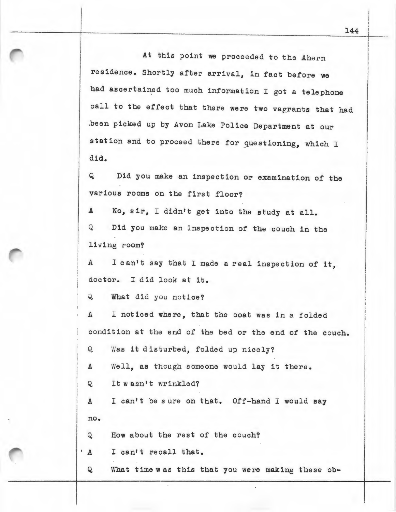At this point we proceeded to the Ahern residence. Shortly after arrival, in fact before we had ascertained too much information I got a telephone call to the effect that there were two vagrants that had .been picked up by Avon Lake Police Department at our station and to proceed there for questioning, which I did.

Q Did you make an inspection or examination of the various rooms on the first floor?

A *No,* sir, I didn't get into the study at all. Q Did you make an inspection of the couch in the living room?

<sup>A</sup>I can't say that I made a real inspection of it, doctor. I did look at it.

Q What did you notice?

A I noticed where, that the coat was in a folded condition at the end of the bed or the end of the couch.

Q Was it disturbed, folded up nicely?

A Well, as though someone would lay it there.

Q It wasn't wrinkled?

A I can't be s ure on that. Off-hand I would say no.

Q How about the rest of the couch?

• A I can't recall that.

Q What time was this that you were making these ob-

I I I